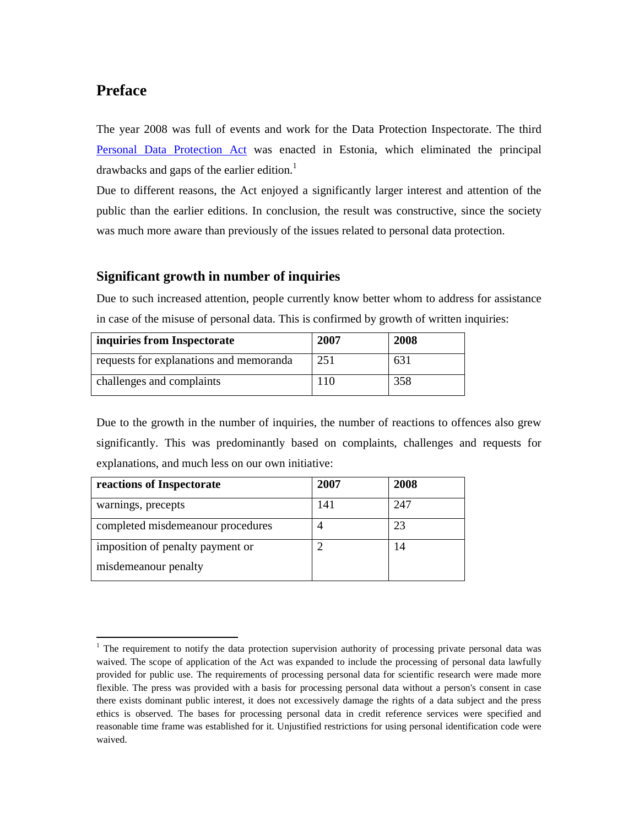# **Preface**

-

The year 2008 was full of events and work for the Data Protection Inspectorate. The third Personal Data Protection Act was enacted in Estonia, which eliminated the principal drawbacks and gaps of the earlier edition.<sup>1</sup>

Due to different reasons, the Act enjoyed a significantly larger interest and attention of the public than the earlier editions. In conclusion, the result was constructive, since the society was much more aware than previously of the issues related to personal data protection.

# **Significant growth in number of inquiries**

Due to such increased attention, people currently know better whom to address for assistance in case of the misuse of personal data. This is confirmed by growth of written inquiries:

| inquiries from Inspectorate             | 2007 | 2008 |
|-----------------------------------------|------|------|
| requests for explanations and memoranda | 251  | 631  |
| challenges and complaints               | 110  | 358  |

Due to the growth in the number of inquiries, the number of reactions to offences also grew significantly. This was predominantly based on complaints, challenges and requests for explanations, and much less on our own initiative:

| reactions of Inspectorate         | 2007 | 2008 |
|-----------------------------------|------|------|
| warnings, precepts                | 141  | 247  |
| completed misdemeanour procedures |      | 23   |
| imposition of penalty payment or  |      | 14   |
| misdemeanour penalty              |      |      |

<sup>&</sup>lt;sup>1</sup> The requirement to notify the data protection supervision authority of processing private personal data was waived. The scope of application of the Act was expanded to include the processing of personal data lawfully provided for public use. The requirements of processing personal data for scientific research were made more flexible. The press was provided with a basis for processing personal data without a person's consent in case there exists dominant public interest, it does not excessively damage the rights of a data subject and the press ethics is observed. The bases for processing personal data in credit reference services were specified and reasonable time frame was established for it. Unjustified restrictions for using personal identification code were waived.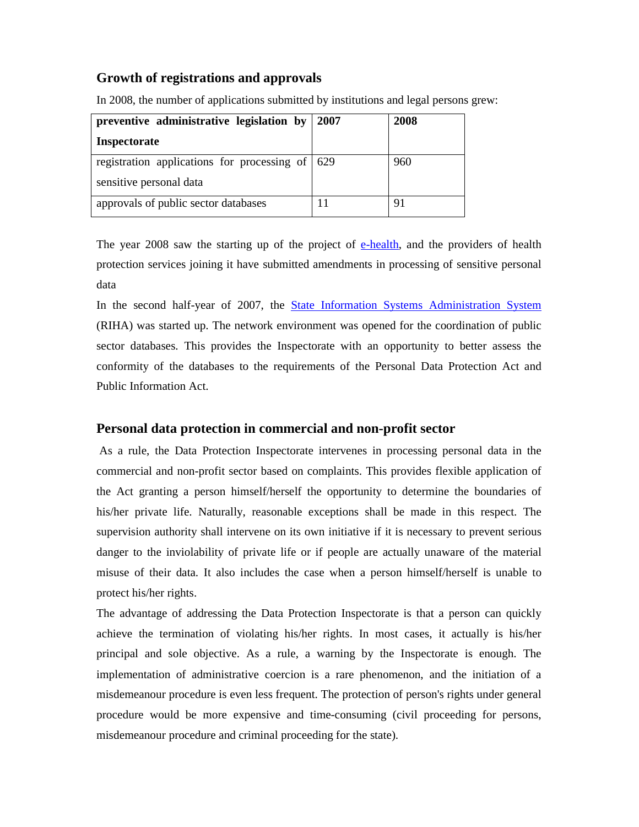# **Growth of registrations and approvals**

| preventive administrative legislation by        | 2007 | 2008 |
|-------------------------------------------------|------|------|
| <b>Inspectorate</b>                             |      |      |
| registration applications for processing of 629 |      | 960  |
| sensitive personal data                         |      |      |
| approvals of public sector databases            |      | 9    |

In 2008, the number of applications submitted by institutions and legal persons grew:

The year 2008 saw the starting up of the project of e-health, and the providers of health protection services joining it have submitted amendments in processing of sensitive personal data

In the second half-year of 2007, the State Information Systems Administration System (RIHA) was started up. The network environment was opened for the coordination of public sector databases. This provides the Inspectorate with an opportunity to better assess the conformity of the databases to the requirements of the Personal Data Protection Act and Public Information Act.

# **Personal data protection in commercial and non-profit sector**

 As a rule, the Data Protection Inspectorate intervenes in processing personal data in the commercial and non-profit sector based on complaints. This provides flexible application of the Act granting a person himself/herself the opportunity to determine the boundaries of his/her private life. Naturally, reasonable exceptions shall be made in this respect. The supervision authority shall intervene on its own initiative if it is necessary to prevent serious danger to the inviolability of private life or if people are actually unaware of the material misuse of their data. It also includes the case when a person himself/herself is unable to protect his/her rights.

The advantage of addressing the Data Protection Inspectorate is that a person can quickly achieve the termination of violating his/her rights. In most cases, it actually is his/her principal and sole objective. As a rule, a warning by the Inspectorate is enough. The implementation of administrative coercion is a rare phenomenon, and the initiation of a misdemeanour procedure is even less frequent. The protection of person's rights under general procedure would be more expensive and time-consuming (civil proceeding for persons, misdemeanour procedure and criminal proceeding for the state).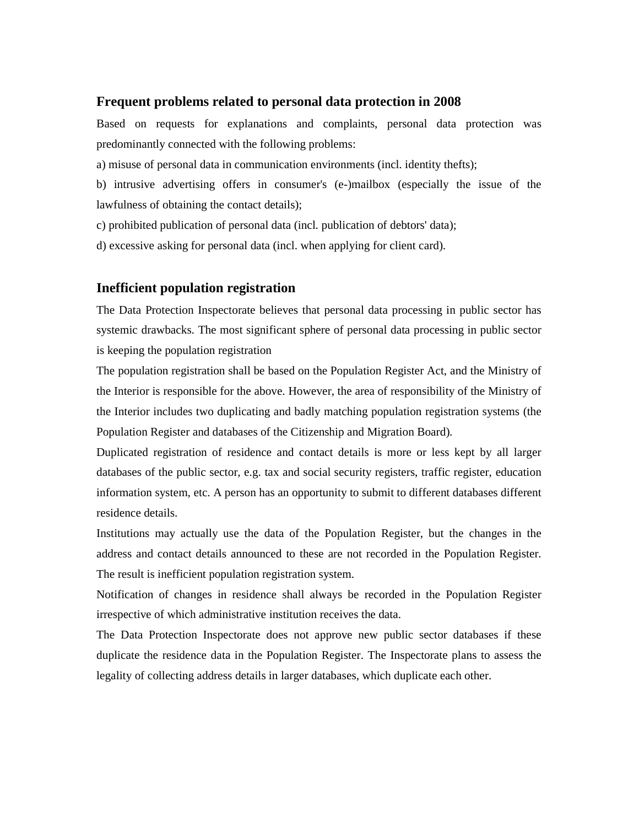#### **Frequent problems related to personal data protection in 2008**

Based on requests for explanations and complaints, personal data protection was predominantly connected with the following problems:

a) misuse of personal data in communication environments (incl. identity thefts);

b) intrusive advertising offers in consumer's (e-)mailbox (especially the issue of the lawfulness of obtaining the contact details);

c) prohibited publication of personal data (incl. publication of debtors' data);

d) excessive asking for personal data (incl. when applying for client card).

# **Inefficient population registration**

The Data Protection Inspectorate believes that personal data processing in public sector has systemic drawbacks. The most significant sphere of personal data processing in public sector is keeping the population registration

The population registration shall be based on the Population Register Act, and the Ministry of the Interior is responsible for the above. However, the area of responsibility of the Ministry of the Interior includes two duplicating and badly matching population registration systems (the Population Register and databases of the Citizenship and Migration Board)*.*

Duplicated registration of residence and contact details is more or less kept by all larger databases of the public sector, e.g. tax and social security registers, traffic register, education information system, etc. A person has an opportunity to submit to different databases different residence details.

Institutions may actually use the data of the Population Register, but the changes in the address and contact details announced to these are not recorded in the Population Register. The result is inefficient population registration system.

Notification of changes in residence shall always be recorded in the Population Register irrespective of which administrative institution receives the data.

The Data Protection Inspectorate does not approve new public sector databases if these duplicate the residence data in the Population Register. The Inspectorate plans to assess the legality of collecting address details in larger databases, which duplicate each other.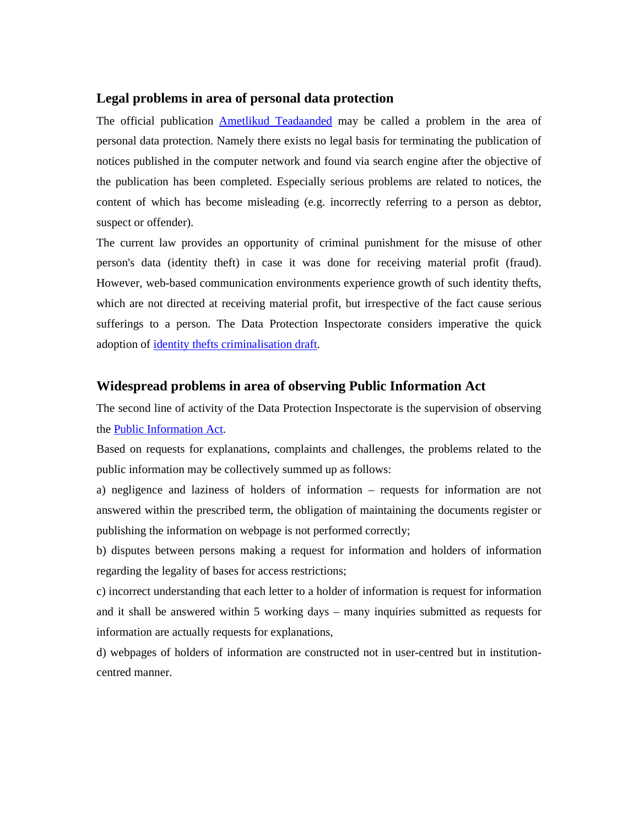#### **Legal problems in area of personal data protection**

The official publication Ametlikud Teadaanded may be called a problem in the area of personal data protection. Namely there exists no legal basis for terminating the publication of notices published in the computer network and found via search engine after the objective of the publication has been completed. Especially serious problems are related to notices, the content of which has become misleading (e.g. incorrectly referring to a person as debtor, suspect or offender).

The current law provides an opportunity of criminal punishment for the misuse of other person's data (identity theft) in case it was done for receiving material profit (fraud). However, web-based communication environments experience growth of such identity thefts, which are not directed at receiving material profit, but irrespective of the fact cause serious sufferings to a person. The Data Protection Inspectorate considers imperative the quick adoption of identity thefts criminalisation draft.

## **Widespread problems in area of observing Public Information Act**

The second line of activity of the Data Protection Inspectorate is the supervision of observing the Public Information Act.

Based on requests for explanations, complaints and challenges, the problems related to the public information may be collectively summed up as follows:

a) negligence and laziness of holders of information – requests for information are not answered within the prescribed term, the obligation of maintaining the documents register or publishing the information on webpage is not performed correctly;

b) disputes between persons making a request for information and holders of information regarding the legality of bases for access restrictions;

c) incorrect understanding that each letter to a holder of information is request for information and it shall be answered within 5 working days – many inquiries submitted as requests for information are actually requests for explanations,

d) webpages of holders of information are constructed not in user-centred but in institutioncentred manner.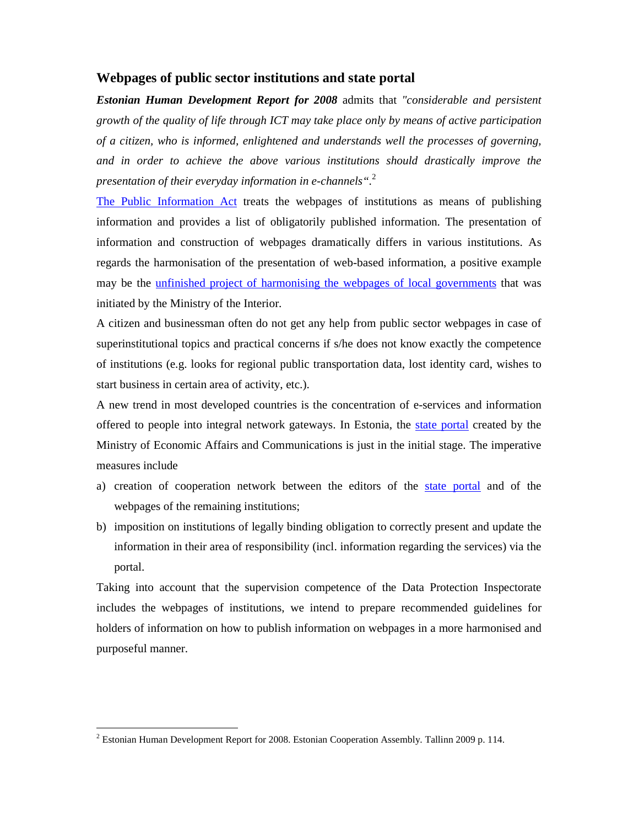#### **Webpages of public sector institutions and state portal**

*Estonian Human Development Report for 2008* admits that *"considerable and persistent growth of the quality of life through ICT may take place only by means of active participation of a citizen, who is informed, enlightened and understands well the processes of governing, and in order to achieve the above various institutions should drastically improve the presentation of their everyday information in e-channels".*<sup>2</sup>

The Public Information Act treats the webpages of institutions as means of publishing information and provides a list of obligatorily published information. The presentation of information and construction of webpages dramatically differs in various institutions. As regards the harmonisation of the presentation of web-based information, a positive example may be the unfinished project of harmonising the webpages of local governments that was initiated by the Ministry of the Interior.

A citizen and businessman often do not get any help from public sector webpages in case of superinstitutional topics and practical concerns if s/he does not know exactly the competence of institutions (e.g. looks for regional public transportation data, lost identity card, wishes to start business in certain area of activity, etc.).

A new trend in most developed countries is the concentration of e-services and information offered to people into integral network gateways. In Estonia, the state portal created by the Ministry of Economic Affairs and Communications is just in the initial stage. The imperative measures include

- a) creation of cooperation network between the editors of the state portal and of the webpages of the remaining institutions;
- b) imposition on institutions of legally binding obligation to correctly present and update the information in their area of responsibility (incl. information regarding the services) via the portal.

Taking into account that the supervision competence of the Data Protection Inspectorate includes the webpages of institutions, we intend to prepare recommended guidelines for holders of information on how to publish information on webpages in a more harmonised and purposeful manner.

-

 $2^{2}$  Estonian Human Development Report for 2008. Estonian Cooperation Assembly. Tallinn 2009 p. 114.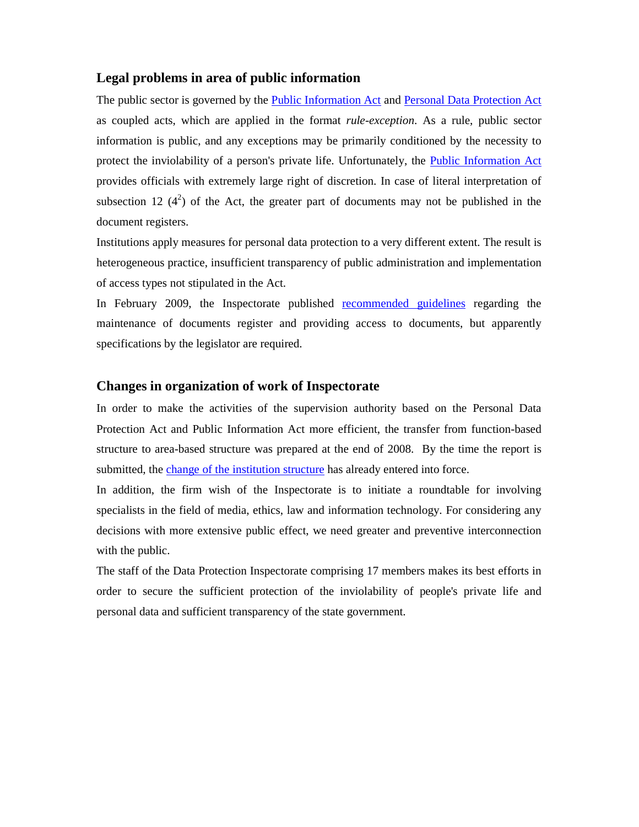# **Legal problems in area of public information**

The public sector is governed by the **Public Information Act** and **Personal Data Protection Act** as coupled acts, which are applied in the format *rule-exception*. As a rule, public sector information is public, and any exceptions may be primarily conditioned by the necessity to protect the inviolability of a person's private life. Unfortunately, the Public Information Act provides officials with extremely large right of discretion. In case of literal interpretation of subsection 12  $(4^2)$  of the Act, the greater part of documents may not be published in the document registers.

Institutions apply measures for personal data protection to a very different extent. The result is heterogeneous practice, insufficient transparency of public administration and implementation of access types not stipulated in the Act.

In February 2009, the Inspectorate published recommended guidelines regarding the maintenance of documents register and providing access to documents, but apparently specifications by the legislator are required.

#### **Changes in organization of work of Inspectorate**

In order to make the activities of the supervision authority based on the Personal Data Protection Act and Public Information Act more efficient, the transfer from function-based structure to area-based structure was prepared at the end of 2008. By the time the report is submitted, the change of the institution structure has already entered into force.

In addition, the firm wish of the Inspectorate is to initiate a roundtable for involving specialists in the field of media, ethics, law and information technology. For considering any decisions with more extensive public effect, we need greater and preventive interconnection with the public.

The staff of the Data Protection Inspectorate comprising 17 members makes its best efforts in order to secure the sufficient protection of the inviolability of people's private life and personal data and sufficient transparency of the state government.